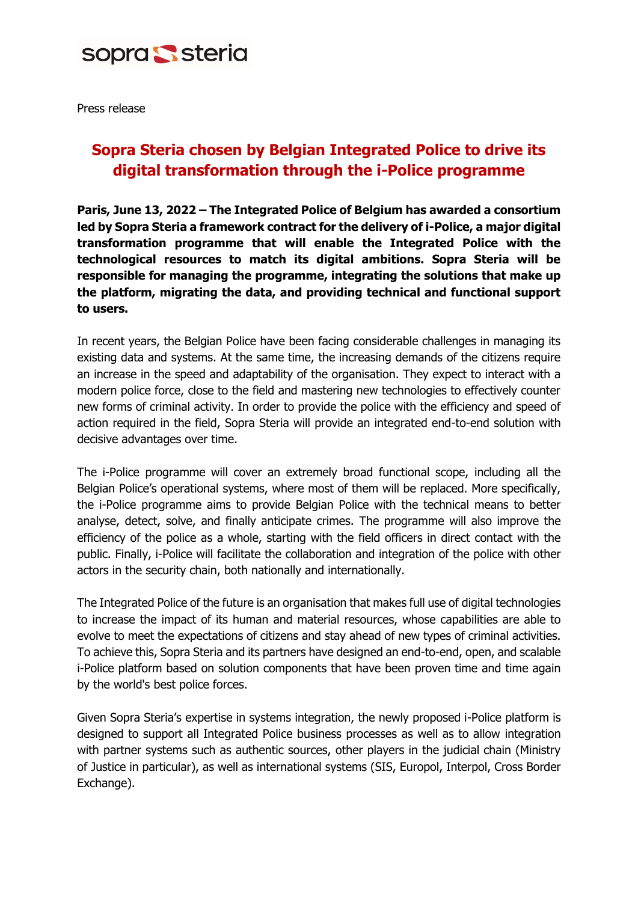

Press release

## **Sopra Steria chosen by Belgian Integrated Police to drive its digital transformation through the i-Police programme**

**Paris, June 13, 2022 – The Integrated Police of Belgium has awarded a consortium led by Sopra Steria a framework contract for the delivery of i-Police, a major digital transformation programme that will enable the Integrated Police with the technological resources to match its digital ambitions. Sopra Steria will be responsible for managing the programme, integrating the solutions that make up the platform, migrating the data, and providing technical and functional support to users.**

In recent years, the Belgian Police have been facing considerable challenges in managing its existing data and systems. At the same time, the increasing demands of the citizens require an increase in the speed and adaptability of the organisation. They expect to interact with a modern police force, close to the field and mastering new technologies to effectively counter new forms of criminal activity. In order to provide the police with the efficiency and speed of action required in the field, Sopra Steria will provide an integrated end-to-end solution with decisive advantages over time.

The i-Police programme will cover an extremely broad functional scope, including all the Belgian Police's operational systems, where most of them will be replaced. More specifically, the i-Police programme aims to provide Belgian Police with the technical means to better analyse, detect, solve, and finally anticipate crimes. The programme will also improve the efficiency of the police as a whole, starting with the field officers in direct contact with the public. Finally, i-Police will facilitate the collaboration and integration of the police with other actors in the security chain, both nationally and internationally.

The Integrated Police of the future is an organisation that makes full use of digital technologies to increase the impact of its human and material resources, whose capabilities are able to evolve to meet the expectations of citizens and stay ahead of new types of criminal activities. To achieve this, Sopra Steria and its partners have designed an end-to-end, open, and scalable i-Police platform based on solution components that have been proven time and time again by the world's best police forces.

Given Sopra Steria's expertise in systems integration, the newly proposed i-Police platform is designed to support all Integrated Police business processes as well as to allow integration with partner systems such as authentic sources, other players in the judicial chain (Ministry of Justice in particular), as well as international systems (SIS, Europol, Interpol, Cross Border Exchange).